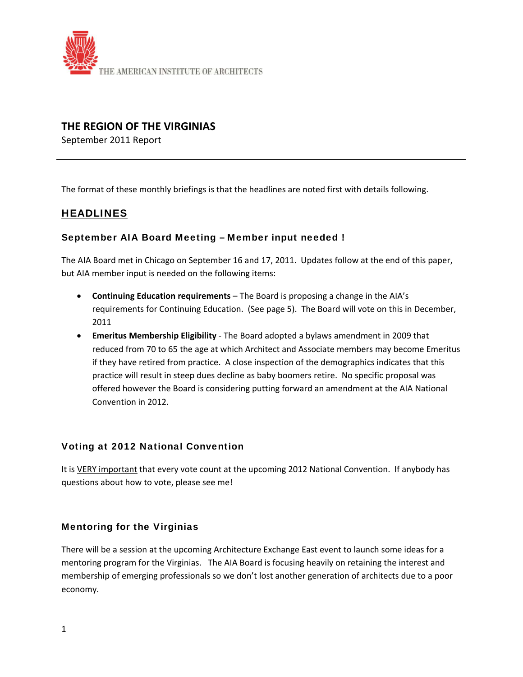

# **THE REGION OF THE VIRGINIAS**

September 2011 Report

The format of these monthly briefings is that the headlines are noted first with details following.

# **HEADLINES**

## September AIA Board Meeting – Member input needed !

The AIA Board met in Chicago on September 16 and 17, 2011. Updates follow at the end of this paper, but AIA member input is needed on the following items:

- **Continuing Education requirements** The Board is proposing a change in the AIA's requirements for Continuing Education. (See page 5). The Board will vote on this in December, 2011
- **Emeritus Membership Eligibility** ‐ The Board adopted a bylaws amendment in 2009 that reduced from 70 to 65 the age at which Architect and Associate members may become Emeritus if they have retired from practice. A close inspection of the demographics indicates that this practice will result in steep dues decline as baby boomers retire. No specific proposal was offered however the Board is considering putting forward an amendment at the AIA National Convention in 2012.

# Voting at 2012 National Convention

It is VERY important that every vote count at the upcoming 2012 National Convention. If anybody has questions about how to vote, please see me!

## Mentoring for the Virginias

There will be a session at the upcoming Architecture Exchange East event to launch some ideas for a mentoring program for the Virginias. The AIA Board is focusing heavily on retaining the interest and membership of emerging professionals so we don't lost another generation of architects due to a poor economy.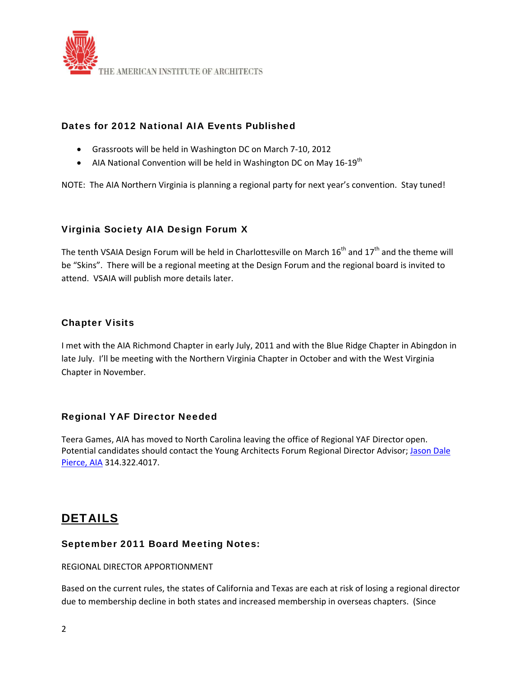

# Dates for 2012 National AIA Events Published

- Grassroots will be held in Washington DC on March 7‐10, 2012
- AIA National Convention will be held in Washington DC on May 16-19<sup>th</sup>

NOTE: The AIA Northern Virginia is planning a regional party for next year's convention. Stay tuned!

# Virginia Society AIA Design Forum X

The tenth VSAIA Design Forum will be held in Charlottesville on March  $16^{th}$  and  $17^{th}$  and the theme will be "Skins". There will be a regional meeting at the Design Forum and the regional board is invited to attend. VSAIA will publish more details later.

## Chapter Visits

I met with the AIA Richmond Chapter in early July, 2011 and with the Blue Ridge Chapter in Abingdon in late July. I'll be meeting with the Northern Virginia Chapter in October and with the West Virginia Chapter in November.

# Regional YAF Director Needed

Teera Games, AIA has moved to North Carolina leaving the office of Regional YAF Director open. Potential candidates should contact the Young Architects Forum Regional Director Advisor; Jason Dale Pierce, AIA 314.322.4017.

# DETAILS

## September 2011 Board Meeting Notes:

REGIONAL DIRECTOR APPORTIONMENT

Based on the current rules, the states of California and Texas are each at risk of losing a regional director due to membership decline in both states and increased membership in overseas chapters. (Since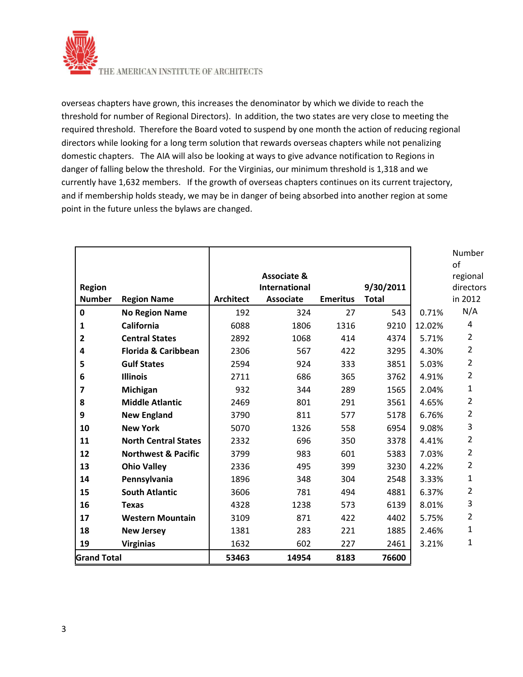

THE AMERICAN INSTITUTE OF ARCHITECTS

overseas chapters have grown, this increases the denominator by which we divide to reach the threshold for number of Regional Directors). In addition, the two states are very close to meeting the required threshold. Therefore the Board voted to suspend by one month the action of reducing regional directors while looking for a long term solution that rewards overseas chapters while not penalizing domestic chapters. The AIA will also be looking at ways to give advance notification to Regions in danger of falling below the threshold. For the Virginias, our minimum threshold is 1,318 and we currently have 1,632 members. If the growth of overseas chapters continues on its current trajectory, and if membership holds steady, we may be in danger of being absorbed into another region at some point in the future unless the bylaws are changed.

|                    |                                |                  | <b>Associate &amp;</b> |                 |              |        | Number<br>of<br>regional |
|--------------------|--------------------------------|------------------|------------------------|-----------------|--------------|--------|--------------------------|
| <b>Region</b>      |                                |                  | <b>International</b>   |                 | 9/30/2011    |        | directors                |
| <b>Number</b>      | <b>Region Name</b>             | <b>Architect</b> | <b>Associate</b>       | <b>Emeritus</b> | <b>Total</b> |        | in 2012                  |
| $\mathbf 0$        | <b>No Region Name</b>          | 192              | 324                    | 27              | 543          | 0.71%  | N/A                      |
| 1                  | <b>California</b>              | 6088             | 1806                   | 1316            | 9210         | 12.02% | 4                        |
| $\overline{2}$     | <b>Central States</b>          | 2892             | 1068                   | 414             | 4374         | 5.71%  | $\overline{2}$           |
| 4                  | <b>Florida &amp; Caribbean</b> | 2306             | 567                    | 422             | 3295         | 4.30%  | $\overline{2}$           |
| 5                  | <b>Gulf States</b>             | 2594             | 924                    | 333             | 3851         | 5.03%  | $\overline{2}$           |
| 6                  | <b>Illinois</b>                | 2711             | 686                    | 365             | 3762         | 4.91%  | $\overline{2}$           |
| 7                  | Michigan                       | 932              | 344                    | 289             | 1565         | 2.04%  | 1                        |
| 8                  | <b>Middle Atlantic</b>         | 2469             | 801                    | 291             | 3561         | 4.65%  | $\overline{2}$           |
| 9                  | <b>New England</b>             | 3790             | 811                    | 577             | 5178         | 6.76%  | $\overline{2}$           |
| 10                 | <b>New York</b>                | 5070             | 1326                   | 558             | 6954         | 9.08%  | 3                        |
| 11                 | <b>North Central States</b>    | 2332             | 696                    | 350             | 3378         | 4.41%  | $\overline{2}$           |
| 12                 | <b>Northwest &amp; Pacific</b> | 3799             | 983                    | 601             | 5383         | 7.03%  | $\overline{2}$           |
| 13                 | <b>Ohio Valley</b>             | 2336             | 495                    | 399             | 3230         | 4.22%  | $\overline{2}$           |
| 14                 | Pennsylvania                   | 1896             | 348                    | 304             | 2548         | 3.33%  | 1                        |
| 15                 | <b>South Atlantic</b>          | 3606             | 781                    | 494             | 4881         | 6.37%  | $\overline{2}$           |
| 16                 | <b>Texas</b>                   | 4328             | 1238                   | 573             | 6139         | 8.01%  | 3                        |
| 17                 | <b>Western Mountain</b>        | 3109             | 871                    | 422             | 4402         | 5.75%  | $\overline{2}$           |
| 18                 | <b>New Jersey</b>              | 1381             | 283                    | 221             | 1885         | 2.46%  | 1                        |
| 19                 | <b>Virginias</b>               | 1632             | 602                    | 227             | 2461         | 3.21%  | 1                        |
| <b>Grand Total</b> |                                | 53463            | 14954                  | 8183            | 76600        |        |                          |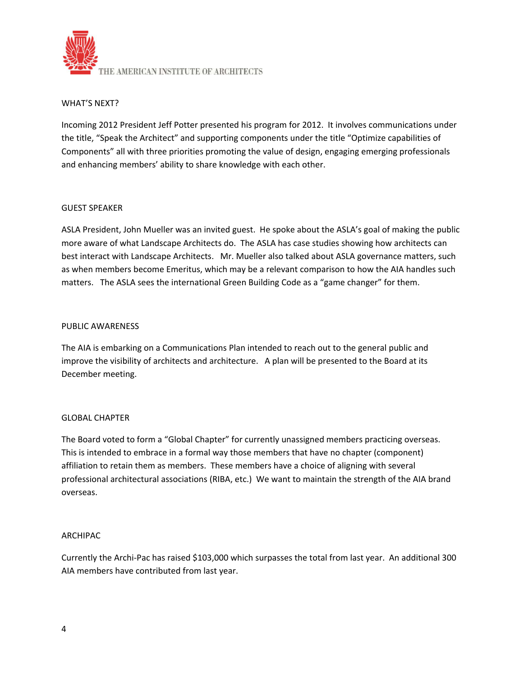

## WHAT'S NEXT?

Incoming 2012 President Jeff Potter presented his program for 2012. It involves communications under the title, "Speak the Architect" and supporting components under the title "Optimize capabilities of Components" all with three priorities promoting the value of design, engaging emerging professionals and enhancing members' ability to share knowledge with each other.

#### GUEST SPEAKER

ASLA President, John Mueller was an invited guest. He spoke about the ASLA's goal of making the public more aware of what Landscape Architects do. The ASLA has case studies showing how architects can best interact with Landscape Architects. Mr. Mueller also talked about ASLA governance matters, such as when members become Emeritus, which may be a relevant comparison to how the AIA handles such matters. The ASLA sees the international Green Building Code as a "game changer" for them.

#### PUBLIC AWARENESS

The AIA is embarking on a Communications Plan intended to reach out to the general public and improve the visibility of architects and architecture. A plan will be presented to the Board at its December meeting.

#### GLOBAL CHAPTER

The Board voted to form a "Global Chapter" for currently unassigned members practicing overseas. This is intended to embrace in a formal way those members that have no chapter (component) affiliation to retain them as members. These members have a choice of aligning with several professional architectural associations (RIBA, etc.) We want to maintain the strength of the AIA brand overseas.

## ARCHIPAC

Currently the Archi‐Pac has raised \$103,000 which surpasses the total from last year. An additional 300 AIA members have contributed from last year.